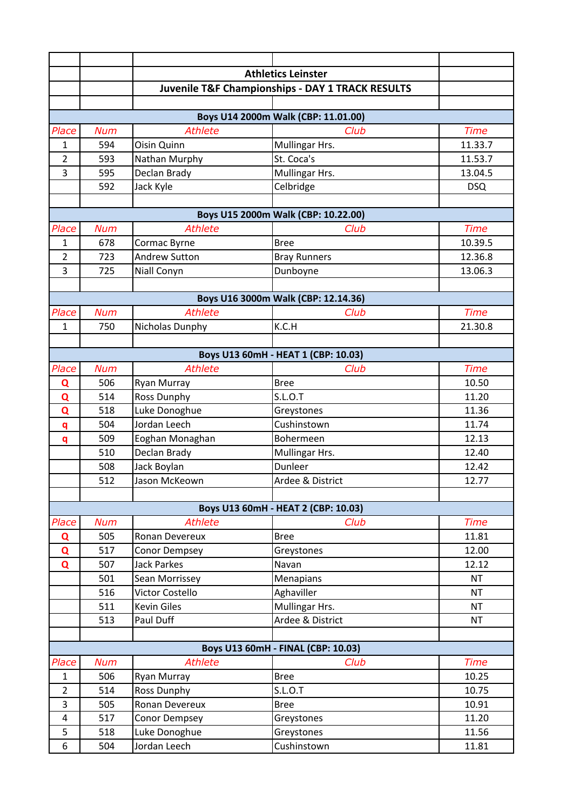|                                     |                                     |                      | <b>Athletics Leinster</b>                                   |             |  |  |
|-------------------------------------|-------------------------------------|----------------------|-------------------------------------------------------------|-------------|--|--|
|                                     |                                     |                      | <b>Juvenile T&amp;F Championships - DAY 1 TRACK RESULTS</b> |             |  |  |
|                                     |                                     |                      |                                                             |             |  |  |
|                                     |                                     |                      | Boys U14 2000m Walk (CBP: 11.01.00)                         |             |  |  |
| Place                               | <b>Num</b>                          | <b>Athlete</b>       | Club                                                        | <b>Time</b> |  |  |
| 1                                   | 594                                 | Oisin Quinn          | Mullingar Hrs.                                              | 11.33.7     |  |  |
| $\overline{2}$                      | 593                                 | Nathan Murphy        | St. Coca's                                                  | 11.53.7     |  |  |
| 3                                   | 595                                 | Declan Brady         | Mullingar Hrs.                                              | 13.04.5     |  |  |
|                                     | 592                                 | Jack Kyle            | Celbridge                                                   | <b>DSQ</b>  |  |  |
|                                     |                                     |                      |                                                             |             |  |  |
| Boys U15 2000m Walk (CBP: 10.22.00) |                                     |                      |                                                             |             |  |  |
| Place                               | <b>Num</b>                          | <b>Athlete</b>       | Club                                                        | <b>Time</b> |  |  |
| 1                                   | 678                                 | Cormac Byrne         | <b>Bree</b>                                                 | 10.39.5     |  |  |
| $\overline{2}$                      | 723                                 | <b>Andrew Sutton</b> | <b>Bray Runners</b>                                         | 12.36.8     |  |  |
| $\overline{3}$                      | 725                                 | Niall Conyn          | Dunboyne                                                    | 13.06.3     |  |  |
|                                     |                                     |                      |                                                             |             |  |  |
|                                     | Boys U16 3000m Walk (CBP: 12.14.36) |                      |                                                             |             |  |  |
| Place                               | <b>Num</b>                          | <b>Athlete</b>       | Club                                                        | <b>Time</b> |  |  |
| $\mathbf{1}$                        | 750                                 | Nicholas Dunphy      | K.C.H                                                       | 21.30.8     |  |  |
|                                     |                                     |                      |                                                             |             |  |  |
|                                     |                                     |                      | Boys U13 60mH - HEAT 1 (CBP: 10.03)                         |             |  |  |
| Place                               | <b>Num</b>                          | <b>Athlete</b>       | Club                                                        | <b>Time</b> |  |  |
| Q                                   | 506                                 | Ryan Murray          | <b>Bree</b>                                                 | 10.50       |  |  |
| Q                                   | 514                                 | <b>Ross Dunphy</b>   | <b>S.L.O.T</b>                                              | 11.20       |  |  |
| Q                                   | 518                                 | Luke Donoghue        | Greystones                                                  | 11.36       |  |  |
| q                                   | 504                                 | Jordan Leech         | Cushinstown                                                 | 11.74       |  |  |
| q                                   | 509                                 | Eoghan Monaghan      | Bohermeen                                                   | 12.13       |  |  |
|                                     | 510                                 | Declan Brady         | Mullingar Hrs.                                              | 12.40       |  |  |
|                                     | 508                                 | Jack Boylan          | Dunleer                                                     | 12.42       |  |  |
|                                     | 512                                 | Jason McKeown        | Ardee & District                                            | 12.77       |  |  |
|                                     |                                     |                      |                                                             |             |  |  |
|                                     |                                     |                      | Boys U13 60mH - HEAT 2 (CBP: 10.03)                         |             |  |  |
| Place                               | <b>Num</b>                          | <b>Athlete</b>       | Club                                                        | <b>Time</b> |  |  |
| Q                                   | 505                                 | Ronan Devereux       | <b>Bree</b>                                                 | 11.81       |  |  |
| $\mathbf Q$                         | 517                                 | Conor Dempsey        | Greystones                                                  | 12.00       |  |  |
| $\mathbf Q$                         | 507                                 | <b>Jack Parkes</b>   | Navan                                                       | 12.12       |  |  |
|                                     | 501                                 | Sean Morrissey       | Menapians                                                   | <b>NT</b>   |  |  |
|                                     | 516                                 | Victor Costello      | Aghaviller                                                  | <b>NT</b>   |  |  |
|                                     | 511                                 | Kevin Giles          | Mullingar Hrs.                                              | <b>NT</b>   |  |  |
|                                     | 513                                 | Paul Duff            | Ardee & District                                            | <b>NT</b>   |  |  |
|                                     |                                     |                      |                                                             |             |  |  |
|                                     |                                     |                      | Boys U13 60mH - FINAL (CBP: 10.03)                          |             |  |  |
| Place                               | <b>Num</b>                          | <b>Athlete</b>       | Club                                                        | <b>Time</b> |  |  |
| $\mathbf{1}$                        | 506                                 | Ryan Murray          | <b>Bree</b>                                                 | 10.25       |  |  |
| $\overline{2}$                      | 514                                 | <b>Ross Dunphy</b>   | S.L.O.T                                                     | 10.75       |  |  |
| 3                                   | 505                                 | Ronan Devereux       | <b>Bree</b>                                                 | 10.91       |  |  |
| $\pmb{4}$                           | 517                                 | Conor Dempsey        | Greystones                                                  | 11.20       |  |  |
| 5                                   | 518                                 | Luke Donoghue        | Greystones                                                  | 11.56       |  |  |
| 6                                   | 504                                 | Jordan Leech         | Cushinstown                                                 | 11.81       |  |  |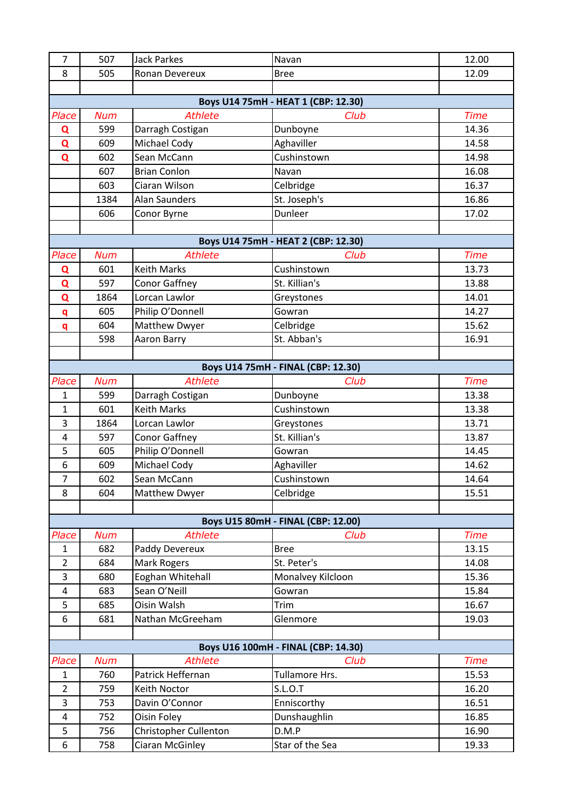| $\overline{7}$      | 507        | <b>Jack Parkes</b>               | Navan                               | 12.00          |
|---------------------|------------|----------------------------------|-------------------------------------|----------------|
| 8                   | 505        | Ronan Devereux                   | <b>Bree</b>                         | 12.09          |
|                     |            |                                  |                                     |                |
|                     |            |                                  | Boys U14 75mH - HEAT 1 (CBP: 12.30) |                |
| Place               | <b>Num</b> | <b>Athlete</b>                   | Club                                | <b>Time</b>    |
| Q                   | 599        | Darragh Costigan                 | Dunboyne                            | 14.36          |
| Q                   | 609        | Michael Cody                     | Aghaviller                          | 14.58          |
| $\mathbf Q$         | 602        | Sean McCann                      | Cushinstown                         | 14.98          |
|                     | 607        | <b>Brian Conlon</b>              | Navan                               | 16.08          |
|                     | 603        | Ciaran Wilson                    | Celbridge                           | 16.37          |
|                     | 1384       | <b>Alan Saunders</b>             | St. Joseph's                        | 16.86          |
|                     | 606        | Conor Byrne                      | Dunleer                             | 17.02          |
|                     |            |                                  |                                     |                |
|                     |            |                                  | Boys U14 75mH - HEAT 2 (CBP: 12.30) |                |
| Place               | <b>Num</b> | <b>Athlete</b>                   | Club                                | <b>Time</b>    |
| Q                   | 601        | <b>Keith Marks</b>               | Cushinstown                         | 13.73          |
| Q                   | 597        | <b>Conor Gaffney</b>             | St. Killian's                       | 13.88          |
| Q                   | 1864       | Lorcan Lawlor                    | Greystones                          | 14.01          |
| q                   | 605        | Philip O'Donnell                 | Gowran                              | 14.27          |
| q                   | 604        | Matthew Dwyer                    | Celbridge                           | 15.62          |
|                     | 598        | Aaron Barry                      | St. Abban's                         | 16.91          |
|                     |            |                                  |                                     |                |
|                     |            |                                  | Boys U14 75mH - FINAL (CBP: 12.30)  |                |
| Place               | <b>Num</b> | <b>Athlete</b>                   | Club                                | <b>Time</b>    |
| $\mathbf{1}$        | 599        | Darragh Costigan                 | Dunboyne                            | 13.38          |
| 1                   | 601        | <b>Keith Marks</b>               | Cushinstown                         | 13.38          |
| 3                   | 1864       | Lorcan Lawlor                    | Greystones                          | 13.71          |
| 4                   | 597        | <b>Conor Gaffney</b>             | St. Killian's                       | 13.87          |
| 5                   | 605        | Philip O'Donnell                 | Gowran                              | 14.45          |
| 6                   | 609        | Michael Cody                     | Aghaviller                          | 14.62          |
| 7                   | 602        | Sean McCann                      | Cushinstown                         | 14.64          |
| 8                   | 604        | Matthew Dwyer                    | Celbridge                           | 15.51          |
|                     |            |                                  |                                     |                |
|                     |            |                                  | Boys U15 80mH - FINAL (CBP: 12.00)  |                |
| Place               | <b>Num</b> | <b>Athlete</b>                   | Club                                | <b>Time</b>    |
| 1                   | 682        | Paddy Devereux                   | <b>Bree</b>                         | 13.15          |
| $\overline{2}$<br>3 | 684        | Mark Rogers                      | St. Peter's                         | 14.08<br>15.36 |
| $\overline{4}$      | 680<br>683 | Eoghan Whitehall<br>Sean O'Neill | Monalvey Kilcloon<br>Gowran         | 15.84          |
| 5                   | 685        | Oisin Walsh                      | Trim                                | 16.67          |
| 6                   | 681        | Nathan McGreeham                 | Glenmore                            | 19.03          |
|                     |            |                                  |                                     |                |
|                     |            |                                  | Boys U16 100mH - FINAL (CBP: 14.30) |                |
| Place               | <b>Num</b> | <b>Athlete</b>                   | Club                                | <b>Time</b>    |
| $\mathbf{1}$        | 760        | Patrick Heffernan                | Tullamore Hrs.                      | 15.53          |
| $\overline{2}$      | 759        | Keith Noctor                     | S.L.O.T                             | 16.20          |
| 3                   | 753        | Davin O'Connor                   | Enniscorthy                         | 16.51          |
| 4                   | 752        | Oisin Foley                      | Dunshaughlin                        | 16.85          |
| 5                   | 756        | Christopher Cullenton            | D.M.P                               | 16.90          |
| 6                   | 758        | Ciaran McGinley                  | Star of the Sea                     | 19.33          |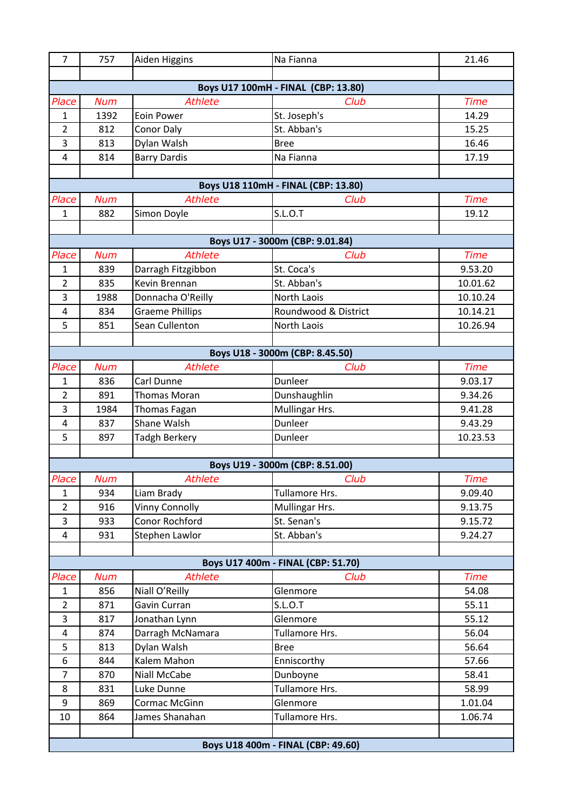| $\overline{7}$                     | 757        | Aiden Higgins          | Na Fianna                           | 21.46       |  |
|------------------------------------|------------|------------------------|-------------------------------------|-------------|--|
|                                    |            |                        |                                     |             |  |
|                                    |            |                        | Boys U17 100mH - FINAL (CBP: 13.80) |             |  |
| Place                              | <b>Num</b> | <b>Athlete</b>         | Club                                | <b>Time</b> |  |
| 1                                  | 1392       | <b>Eoin Power</b>      | St. Joseph's                        | 14.29       |  |
| $\overline{2}$                     | 812        | <b>Conor Daly</b>      | St. Abban's                         | 15.25       |  |
| 3                                  | 813        | Dylan Walsh            | <b>Bree</b>                         | 16.46       |  |
| 4                                  | 814        | <b>Barry Dardis</b>    | Na Fianna                           | 17.19       |  |
|                                    |            |                        |                                     |             |  |
|                                    |            |                        | Boys U18 110mH - FINAL (CBP: 13.80) |             |  |
| Place                              | <b>Num</b> | <b>Athlete</b>         | Club                                | <b>Time</b> |  |
| $\mathbf{1}$                       | 882        | Simon Doyle            | <b>S.L.O.T</b>                      | 19.12       |  |
|                                    |            |                        |                                     |             |  |
|                                    |            |                        | Boys U17 - 3000m (CBP: 9.01.84)     |             |  |
| Place                              | <b>Num</b> | <b>Athlete</b>         | Club                                | <b>Time</b> |  |
| $\mathbf{1}$                       | 839        | Darragh Fitzgibbon     | St. Coca's                          | 9.53.20     |  |
| $\overline{2}$                     | 835        | Kevin Brennan          | St. Abban's                         | 10.01.62    |  |
| 3                                  | 1988       | Donnacha O'Reilly      | North Laois                         | 10.10.24    |  |
| 4                                  | 834        | <b>Graeme Phillips</b> | Roundwood & District                | 10.14.21    |  |
| 5                                  | 851        | Sean Cullenton         | <b>North Laois</b>                  | 10.26.94    |  |
|                                    |            |                        |                                     |             |  |
|                                    |            |                        | Boys U18 - 3000m (CBP: 8.45.50)     |             |  |
| Place                              | <b>Num</b> | <b>Athlete</b>         | Club                                | <b>Time</b> |  |
| 1                                  | 836        | Carl Dunne             | Dunleer                             | 9.03.17     |  |
| $\overline{2}$                     | 891        | <b>Thomas Moran</b>    | Dunshaughlin                        | 9.34.26     |  |
| 3                                  | 1984       | Thomas Fagan           | Mullingar Hrs.                      | 9.41.28     |  |
| 4                                  | 837        | Shane Walsh            | Dunleer                             | 9.43.29     |  |
| 5                                  | 897        | <b>Tadgh Berkery</b>   | Dunleer                             | 10.23.53    |  |
|                                    |            |                        |                                     |             |  |
|                                    |            |                        | Boys U19 - 3000m (CBP: 8.51.00)     |             |  |
| Place                              | <b>Num</b> | <b>Athlete</b>         | Club                                | <b>Time</b> |  |
| $\mathbf{1}$                       | 934        | Liam Brady             | Tullamore Hrs.                      | 9.09.40     |  |
| $\overline{2}$                     | 916        | <b>Vinny Connolly</b>  | Mullingar Hrs.                      | 9.13.75     |  |
| 3                                  | 933        | Conor Rochford         | St. Senan's                         | 9.15.72     |  |
| 4                                  | 931        | Stephen Lawlor         | St. Abban's                         | 9.24.27     |  |
|                                    |            |                        |                                     |             |  |
|                                    |            |                        | Boys U17 400m - FINAL (CBP: 51.70)  |             |  |
| Place                              | <b>Num</b> | <b>Athlete</b>         | Club                                | <b>Time</b> |  |
| $\mathbf{1}$                       | 856        | Niall O'Reilly         | Glenmore                            | 54.08       |  |
| $\overline{2}$                     | 871        | Gavin Curran           | S.L.O.T                             | 55.11       |  |
| $\overline{3}$                     | 817        | Jonathan Lynn          | Glenmore                            | 55.12       |  |
| 4                                  | 874        | Darragh McNamara       | Tullamore Hrs.                      | 56.04       |  |
| 5                                  | 813        | Dylan Walsh            | <b>Bree</b>                         | 56.64       |  |
| 6                                  | 844        | Kalem Mahon            | Enniscorthy                         | 57.66       |  |
| $\overline{7}$                     | 870        | Niall McCabe           | Dunboyne                            | 58.41       |  |
| 8                                  | 831        | Luke Dunne             | Tullamore Hrs.                      | 58.99       |  |
| 9                                  | 869        | Cormac McGinn          | Glenmore                            | 1.01.04     |  |
| 10                                 | 864        | James Shanahan         | Tullamore Hrs.                      | 1.06.74     |  |
|                                    |            |                        |                                     |             |  |
| Boys U18 400m - FINAL (CBP: 49.60) |            |                        |                                     |             |  |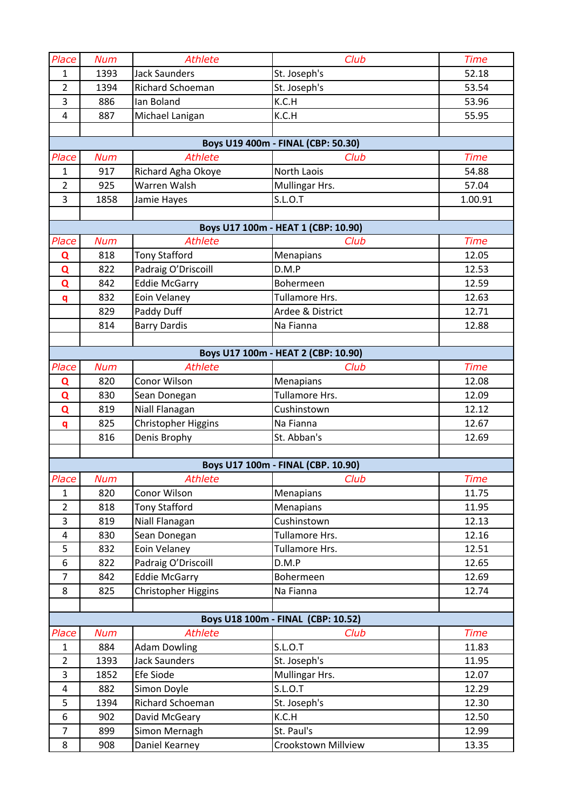| Place          | <b>Num</b> | <b>Athlete</b>                     | Club                                | <b>Time</b> |
|----------------|------------|------------------------------------|-------------------------------------|-------------|
| 1              | 1393       | <b>Jack Saunders</b>               | St. Joseph's                        | 52.18       |
| $\overline{2}$ | 1394       | <b>Richard Schoeman</b>            | St. Joseph's                        | 53.54       |
| 3              | 886        | Ian Boland                         | K.C.H                               | 53.96       |
| 4              | 887        | Michael Lanigan                    | K.C.H                               | 55.95       |
|                |            |                                    |                                     |             |
|                |            |                                    | Boys U19 400m - FINAL (CBP: 50.30)  |             |
| Place          | <b>Num</b> | <b>Athlete</b>                     | Club<br><b>North Laois</b>          | <b>Time</b> |
| $\mathbf{1}$   | 917        | Richard Agha Okoye<br>Warren Walsh |                                     | 54.88       |
| $\overline{2}$ | 925        |                                    | Mullingar Hrs.                      | 57.04       |
| 3              | 1858       | Jamie Hayes                        | <b>S.L.O.T</b>                      | 1.00.91     |
|                |            |                                    | Boys U17 100m - HEAT 1 (CBP: 10.90) |             |
| Place          | <b>Num</b> | <b>Athlete</b>                     | Club                                | <b>Time</b> |
| Q              | 818        | <b>Tony Stafford</b>               | Menapians                           | 12.05       |
| Q              | 822        | Padraig O'Driscoill                | D.M.P                               | 12.53       |
| Q              | 842        | <b>Eddie McGarry</b>               | Bohermeen                           | 12.59       |
| q              | 832        | Eoin Velaney                       | Tullamore Hrs.                      | 12.63       |
|                | 829        | Paddy Duff                         | Ardee & District                    | 12.71       |
|                | 814        | <b>Barry Dardis</b>                | Na Fianna                           | 12.88       |
|                |            |                                    |                                     |             |
|                |            |                                    | Boys U17 100m - HEAT 2 (CBP: 10.90) |             |
| Place          | <b>Num</b> | <b>Athlete</b>                     | Club                                | <b>Time</b> |
| Q              | 820        | Conor Wilson                       | Menapians                           | 12.08       |
| Q              | 830        | Sean Donegan                       | Tullamore Hrs.                      | 12.09       |
| Q              | 819        | Niall Flanagan                     | Cushinstown                         | 12.12       |
| $\mathbf{q}$   | 825        | Christopher Higgins                | Na Fianna                           | 12.67       |
|                | 816        | Denis Brophy                       | St. Abban's                         | 12.69       |
|                |            |                                    |                                     |             |
|                |            |                                    | Boys U17 100m - FINAL (CBP. 10.90)  |             |
| Place          | Num        | <b>Athlete</b>                     | Club                                | Time        |
| $\mathbf{1}$   | 820        | Conor Wilson                       | Menapians                           | 11.75       |
| $\overline{2}$ | 818        | <b>Tony Stafford</b>               | Menapians                           | 11.95       |
| 3              | 819        | Niall Flanagan                     | Cushinstown                         | 12.13       |
| $\overline{4}$ | 830        | Sean Donegan                       | Tullamore Hrs.                      | 12.16       |
| 5              | 832        | Eoin Velaney                       | Tullamore Hrs.                      | 12.51       |
| 6              | 822        | Padraig O'Driscoill                | D.M.P                               | 12.65       |
| $\overline{7}$ | 842        | <b>Eddie McGarry</b>               | Bohermeen                           | 12.69       |
| 8              | 825        | Christopher Higgins                | Na Fianna                           | 12.74       |
|                |            |                                    |                                     |             |
|                |            |                                    | Boys U18 100m - FINAL (CBP: 10.52)  |             |
| Place          | <b>Num</b> | <b>Athlete</b>                     | Club                                | <b>Time</b> |
| $\mathbf{1}$   | 884        | <b>Adam Dowling</b>                | <b>S.L.O.T</b>                      | 11.83       |
| $\overline{2}$ | 1393       | <b>Jack Saunders</b>               | St. Joseph's                        | 11.95       |
| 3              | 1852       | Efe Siode                          | Mullingar Hrs.                      | 12.07       |
| 4              | 882        | Simon Doyle                        | S.L.O.T                             | 12.29       |
| 5              | 1394       | Richard Schoeman                   | St. Joseph's                        | 12.30       |
| 6              | 902        | David McGeary                      | K.C.H                               | 12.50       |
| $\overline{7}$ | 899        | Simon Mernagh                      | St. Paul's                          | 12.99       |
| 8              | 908        | Daniel Kearney                     | Crookstown Millview                 | 13.35       |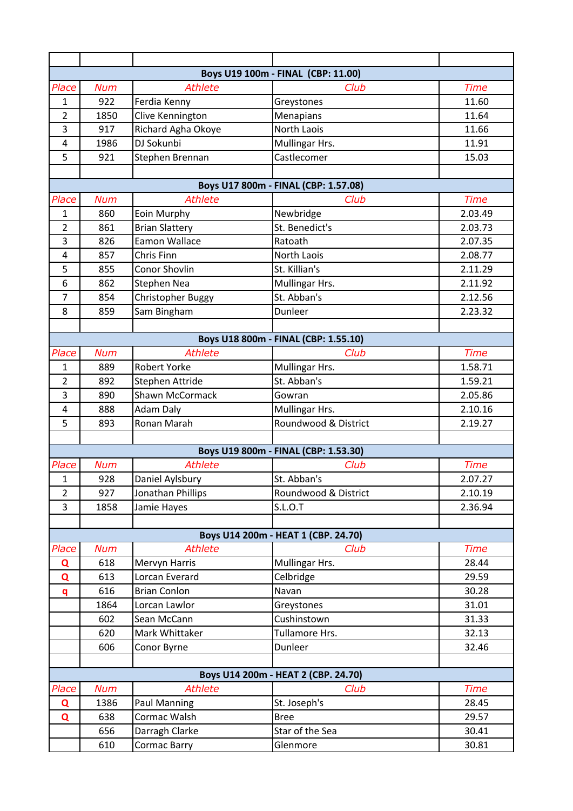| Boys U19 100m - FINAL (CBP: 11.00) |                                     |                                       |                                      |                |  |  |
|------------------------------------|-------------------------------------|---------------------------------------|--------------------------------------|----------------|--|--|
| Place                              | <b>Num</b>                          | <b>Athlete</b>                        | Club                                 | <b>Time</b>    |  |  |
| $\mathbf{1}$                       | 922                                 | Ferdia Kenny                          | Greystones                           | 11.60          |  |  |
| $\overline{2}$                     | 1850                                | Clive Kennington                      | Menapians                            | 11.64          |  |  |
| 3                                  | 917                                 | Richard Agha Okoye                    | North Laois                          | 11.66          |  |  |
| 4                                  | 1986                                | DJ Sokunbi                            | Mullingar Hrs.                       | 11.91          |  |  |
| 5                                  | 921                                 | Stephen Brennan                       | Castlecomer                          | 15.03          |  |  |
|                                    |                                     |                                       |                                      |                |  |  |
|                                    |                                     |                                       | Boys U17 800m - FINAL (CBP: 1.57.08) |                |  |  |
| Place                              | <b>Num</b>                          | <b>Athlete</b>                        | Club                                 | <b>Time</b>    |  |  |
| 1                                  | 860                                 | Eoin Murphy                           | Newbridge                            | 2.03.49        |  |  |
| $\overline{2}$                     | 861                                 | <b>Brian Slattery</b>                 | St. Benedict's                       | 2.03.73        |  |  |
| 3                                  | 826                                 | Eamon Wallace                         | Ratoath                              | 2.07.35        |  |  |
| $\overline{4}$                     | 857                                 | Chris Finn                            | North Laois                          | 2.08.77        |  |  |
| 5                                  | 855                                 | Conor Shovlin                         | St. Killian's                        | 2.11.29        |  |  |
| 6                                  | 862                                 | Stephen Nea                           | Mullingar Hrs.                       | 2.11.92        |  |  |
| $\overline{7}$                     | 854                                 | Christopher Buggy                     | St. Abban's                          | 2.12.56        |  |  |
| 8                                  | 859                                 | Sam Bingham                           | Dunleer                              | 2.23.32        |  |  |
|                                    |                                     |                                       |                                      |                |  |  |
|                                    |                                     |                                       | Boys U18 800m - FINAL (CBP: 1.55.10) |                |  |  |
| Place                              | <b>Num</b>                          | <b>Athlete</b>                        | Club                                 | <b>Time</b>    |  |  |
| 1                                  | 889                                 | <b>Robert Yorke</b>                   | Mullingar Hrs.                       | 1.58.71        |  |  |
| $\overline{2}$                     | 892                                 | Stephen Attride                       | St. Abban's                          | 1.59.21        |  |  |
| 3                                  | 890                                 | <b>Shawn McCormack</b>                | Gowran                               | 2.05.86        |  |  |
| 4                                  | 888                                 | <b>Adam Daly</b>                      | Mullingar Hrs.                       | 2.10.16        |  |  |
| 5                                  | 893                                 | Ronan Marah                           | Roundwood & District                 | 2.19.27        |  |  |
|                                    |                                     |                                       |                                      |                |  |  |
|                                    |                                     |                                       | Boys U19 800m - FINAL (CBP: 1.53.30) |                |  |  |
| Place                              | <b>Num</b>                          | <b>Athlete</b>                        | Club                                 | <b>Time</b>    |  |  |
| $\mathbf 1$                        | 928                                 | Daniel Aylsbury                       | St. Abban's                          | 2.07.27        |  |  |
| $\overline{2}$                     | 927                                 | Jonathan Phillips                     | Roundwood & District                 | 2.10.19        |  |  |
| 3                                  | 1858                                | Jamie Hayes                           | <b>S.L.O.T</b>                       | 2.36.94        |  |  |
|                                    |                                     |                                       |                                      |                |  |  |
|                                    |                                     |                                       | Boys U14 200m - HEAT 1 (CBP. 24.70)  |                |  |  |
| Place                              | <b>Num</b>                          | <b>Athlete</b>                        | Club                                 | <b>Time</b>    |  |  |
| Q                                  | 618                                 | Mervyn Harris                         | Mullingar Hrs.                       | 28.44          |  |  |
| Q                                  | 613<br>616                          | Lorcan Everard<br><b>Brian Conlon</b> | Celbridge<br>Navan                   | 29.59<br>30.28 |  |  |
| $\mathbf{q}$                       | 1864                                | Lorcan Lawlor                         | Greystones                           | 31.01          |  |  |
|                                    | 602                                 | Sean McCann                           | Cushinstown                          | 31.33          |  |  |
|                                    | 620                                 | Mark Whittaker                        | Tullamore Hrs.                       | 32.13          |  |  |
|                                    | 606                                 | Conor Byrne                           | Dunleer                              | 32.46          |  |  |
|                                    |                                     |                                       |                                      |                |  |  |
|                                    | Boys U14 200m - HEAT 2 (CBP. 24.70) |                                       |                                      |                |  |  |
| Place                              | <b>Num</b>                          | <b>Athlete</b>                        | Club                                 | <b>Time</b>    |  |  |
| Q                                  | 1386                                | <b>Paul Manning</b>                   | St. Joseph's                         | 28.45          |  |  |
| Q                                  | 638                                 | Cormac Walsh                          | <b>Bree</b>                          | 29.57          |  |  |
|                                    | 656                                 | Darragh Clarke                        | Star of the Sea                      | 30.41          |  |  |
|                                    | 610                                 | Cormac Barry                          | Glenmore                             | 30.81          |  |  |
|                                    |                                     |                                       |                                      |                |  |  |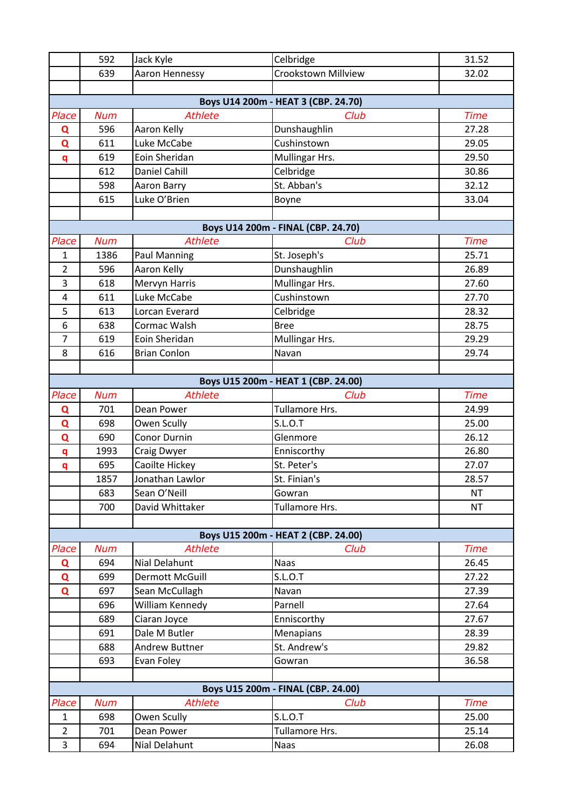|                | 592        | Jack Kyle                                | Celbridge                           | 31.52          |
|----------------|------------|------------------------------------------|-------------------------------------|----------------|
|                | 639        | Aaron Hennessy                           | Crookstown Millview                 | 32.02          |
|                |            |                                          |                                     |                |
|                |            |                                          | Boys U14 200m - HEAT 3 (CBP. 24.70) |                |
| Place          | <b>Num</b> | <b>Athlete</b>                           | Club                                | <b>Time</b>    |
| Q              | 596        | Aaron Kelly                              | Dunshaughlin                        | 27.28          |
| Q              | 611        | Luke McCabe                              | Cushinstown                         | 29.05          |
| q              | 619        | Eoin Sheridan                            | Mullingar Hrs.                      | 29.50          |
|                | 612        | <b>Daniel Cahill</b>                     | Celbridge                           | 30.86          |
|                | 598        | Aaron Barry                              | St. Abban's                         | 32.12          |
|                | 615        | Luke O'Brien                             | Boyne                               | 33.04          |
|                |            |                                          |                                     |                |
|                |            |                                          | Boys U14 200m - FINAL (CBP. 24.70)  |                |
| Place          | <b>Num</b> | <b>Athlete</b>                           | Club                                | <b>Time</b>    |
| 1              | 1386       | <b>Paul Manning</b>                      | St. Joseph's                        | 25.71          |
| $\overline{2}$ | 596        | Aaron Kelly                              | Dunshaughlin                        | 26.89          |
| $\overline{3}$ | 618        | Mervyn Harris                            | Mullingar Hrs.                      | 27.60          |
| $\overline{4}$ | 611        | Luke McCabe                              | Cushinstown                         | 27.70          |
| 5              | 613        | Lorcan Everard                           | Celbridge                           | 28.32          |
| 6              | 638        | Cormac Walsh                             | <b>Bree</b>                         | 28.75          |
| $\overline{7}$ | 619        | Eoin Sheridan                            | Mullingar Hrs.                      | 29.29          |
| 8              | 616        | <b>Brian Conlon</b>                      | Navan                               | 29.74          |
|                |            |                                          |                                     |                |
|                |            |                                          | Boys U15 200m - HEAT 1 (CBP. 24.00) |                |
| Place          | <b>Num</b> | <b>Athlete</b>                           | Club                                | <b>Time</b>    |
| Q              | 701        | Dean Power                               | Tullamore Hrs.                      | 24.99          |
| Q              | 698        | Owen Scully                              | <b>S.L.O.T</b>                      | 25.00          |
| Q              | 690        | <b>Conor Durnin</b>                      | Glenmore                            | 26.12          |
| q              | 1993       | Craig Dwyer                              | Enniscorthy                         | 26.80          |
| q              | 695        | Caoilte Hickey                           | St. Peter's                         | 27.07          |
|                | 1857       | Jonathan Lawlor                          | St. Finian's                        | 28.57          |
|                | 683        | Sean O'Neill                             | Gowran                              | <b>NT</b>      |
|                | 700        | David Whittaker                          | Tullamore Hrs.                      | <b>NT</b>      |
|                |            |                                          |                                     |                |
|                |            |                                          | Boys U15 200m - HEAT 2 (CBP. 24.00) |                |
| Place          | <b>Num</b> | <b>Athlete</b>                           | Club                                | <b>Time</b>    |
| Q              | 694        | Nial Delahunt                            | <b>Naas</b>                         | 26.45          |
| Q              | 699<br>697 | <b>Dermott McGuill</b><br>Sean McCullagh | <b>S.L.O.T</b><br>Navan             | 27.22<br>27.39 |
| Q              | 696        | William Kennedy                          | Parnell                             | 27.64          |
|                | 689        | Ciaran Joyce                             | Enniscorthy                         | 27.67          |
|                | 691        | Dale M Butler                            | Menapians                           | 28.39          |
|                | 688        | Andrew Buttner                           | St. Andrew's                        | 29.82          |
|                | 693        | Evan Foley                               | Gowran                              | 36.58          |
|                |            |                                          |                                     |                |
|                |            |                                          | Boys U15 200m - FINAL (CBP. 24.00)  |                |
| Place          | <b>Num</b> | <b>Athlete</b>                           | Club                                | <b>Time</b>    |
| $\mathbf{1}$   | 698        | Owen Scully                              | <b>S.L.O.T</b>                      | 25.00          |
| $\overline{2}$ | 701        | Dean Power                               | Tullamore Hrs.                      | 25.14          |
| 3              | 694        | Nial Delahunt                            | <b>Naas</b>                         | 26.08          |
|                |            |                                          |                                     |                |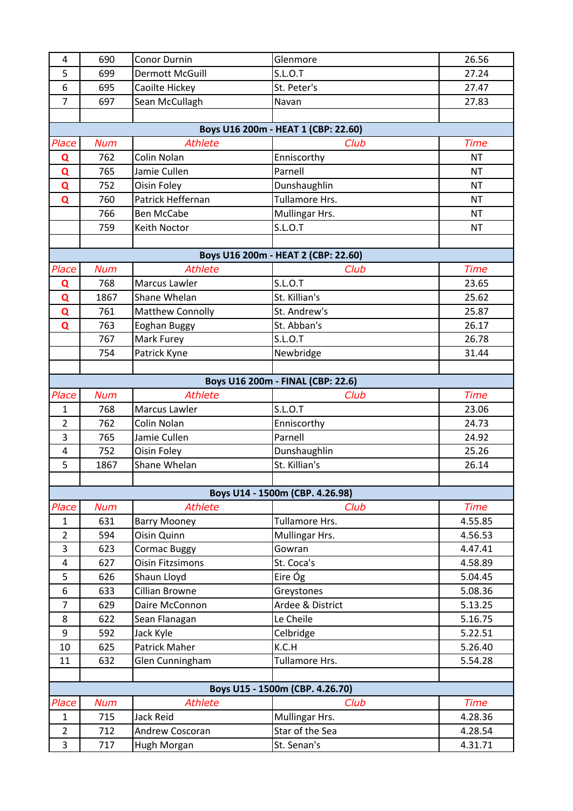| 4              | 690        | <b>Conor Durnin</b>     | Glenmore                            | 26.56       |
|----------------|------------|-------------------------|-------------------------------------|-------------|
| 5              | 699        | <b>Dermott McGuill</b>  | S.L.O.T                             | 27.24       |
| 6              | 695        | Caoilte Hickey          | St. Peter's                         | 27.47       |
| $\overline{7}$ | 697        |                         |                                     |             |
|                |            | Sean McCullagh          | Navan                               | 27.83       |
|                |            |                         |                                     |             |
|                |            | Athlete                 | Boys U16 200m - HEAT 1 (CBP: 22.60) | <b>Time</b> |
| Place          | <b>Num</b> |                         | Club                                |             |
| Q              | 762        | Colin Nolan             | Enniscorthy                         | <b>NT</b>   |
| Q              | 765        | Jamie Cullen            | Parnell                             | <b>NT</b>   |
| Q              | 752        | Oisin Foley             | Dunshaughlin                        | <b>NT</b>   |
| $\mathbf Q$    | 760        | Patrick Heffernan       | Tullamore Hrs.                      | <b>NT</b>   |
|                | 766        | <b>Ben McCabe</b>       | Mullingar Hrs.                      | <b>NT</b>   |
|                | 759        | Keith Noctor            | S.L.O.T                             | <b>NT</b>   |
|                |            |                         |                                     |             |
|                |            |                         | Boys U16 200m - HEAT 2 (CBP: 22.60) |             |
| Place          | <b>Num</b> | <b>Athlete</b>          | Club                                | <b>Time</b> |
| Q              | 768        | Marcus Lawler           | S.L.O.T                             | 23.65       |
| Q              | 1867       | Shane Whelan            | St. Killian's                       | 25.62       |
| $\mathbf Q$    | 761        | <b>Matthew Connolly</b> | St. Andrew's                        | 25.87       |
| $\mathbf Q$    | 763        | Eoghan Buggy            | St. Abban's                         | 26.17       |
|                | 767        | <b>Mark Furey</b>       | S.L.O.T                             | 26.78       |
|                | 754        | Patrick Kyne            | Newbridge                           | 31.44       |
|                |            |                         |                                     |             |
|                |            |                         | Boys U16 200m - FINAL (CBP: 22.6)   |             |
| Place          | <b>Num</b> | <b>Athlete</b>          | Club                                | <b>Time</b> |
| $\mathbf{1}$   | 768        | Marcus Lawler           | S.L.O.T                             | 23.06       |
| $\overline{2}$ | 762        | Colin Nolan             | Enniscorthy                         | 24.73       |
| 3              | 765        | Jamie Cullen            | Parnell                             | 24.92       |
| 4              | 752        | Oisin Foley             | Dunshaughlin                        | 25.26       |
| 5              | 1867       | Shane Whelan            | St. Killian's                       | 26.14       |
|                |            |                         |                                     |             |
|                |            |                         | Boys U14 - 1500m (CBP. 4.26.98)     |             |
| Place          | <b>Num</b> | <b>Athlete</b>          | Club                                | <b>Time</b> |
| $\mathbf{1}$   | 631        | <b>Barry Mooney</b>     | Tullamore Hrs.                      | 4.55.85     |
| $\overline{2}$ | 594        | Oisin Quinn             | Mullingar Hrs.                      | 4.56.53     |
| 3              | 623        | <b>Cormac Buggy</b>     | Gowran                              | 4.47.41     |
| 4              | 627        | <b>Oisin Fitzsimons</b> | St. Coca's                          | 4.58.89     |
| 5              | 626        | Shaun Lloyd             | Eire Óg                             | 5.04.45     |
| 6              | 633        | Cillian Browne          | Greystones                          | 5.08.36     |
| $\overline{7}$ | 629        | Daire McConnon          | Ardee & District                    | 5.13.25     |
| 8              | 622        | Sean Flanagan           | Le Cheile                           | 5.16.75     |
| 9              | 592        | Jack Kyle               | Celbridge                           | 5.22.51     |
| 10             | 625        | Patrick Maher           | K.C.H                               | 5.26.40     |
| 11             | 632        | Glen Cunningham         | Tullamore Hrs.                      | 5.54.28     |
|                |            |                         |                                     |             |
|                |            |                         | Boys U15 - 1500m (CBP. 4.26.70)     |             |
| Place          | <b>Num</b> | <b>Athlete</b>          | Club                                | <b>Time</b> |
| $\mathbf{1}$   | 715        | Jack Reid               | Mullingar Hrs.                      | 4.28.36     |
| $\overline{2}$ | 712        | Andrew Coscoran         | Star of the Sea                     | 4.28.54     |
| 3              | 717        | Hugh Morgan             | St. Senan's                         | 4.31.71     |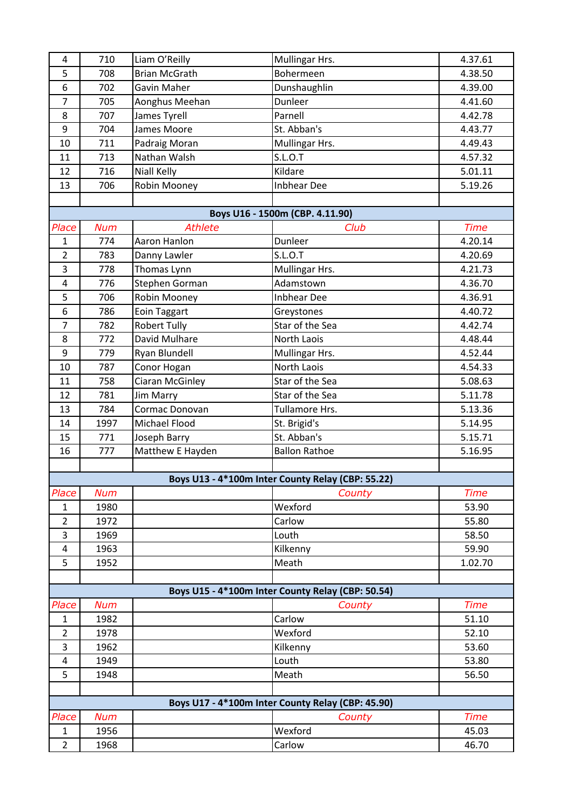| 4                       | 710                                               | Liam O'Reilly        | Mullingar Hrs.                                    | 4.37.61     |  |  |
|-------------------------|---------------------------------------------------|----------------------|---------------------------------------------------|-------------|--|--|
| 5                       | 708                                               | <b>Brian McGrath</b> | Bohermeen                                         | 4.38.50     |  |  |
| 6                       | 702                                               | Gavin Maher          | Dunshaughlin                                      | 4.39.00     |  |  |
| $\overline{7}$          | 705                                               | Aonghus Meehan       | Dunleer                                           | 4.41.60     |  |  |
| 8                       | 707                                               | James Tyrell         | Parnell                                           | 4.42.78     |  |  |
| 9                       | 704                                               | James Moore          | St. Abban's                                       | 4.43.77     |  |  |
| 10                      | 711                                               | Padraig Moran        | Mullingar Hrs.                                    | 4.49.43     |  |  |
| 11                      | 713                                               | Nathan Walsh         | S.L.O.T                                           | 4.57.32     |  |  |
| 12                      | 716                                               | <b>Niall Kelly</b>   | Kildare                                           | 5.01.11     |  |  |
| 13                      | 706                                               | Robin Mooney         | <b>Inbhear Dee</b>                                | 5.19.26     |  |  |
|                         |                                                   |                      |                                                   |             |  |  |
|                         |                                                   |                      | Boys U16 - 1500m (CBP. 4.11.90)                   |             |  |  |
| Place                   | <b>Num</b>                                        | <b>Athlete</b>       | Club                                              | <b>Time</b> |  |  |
| $\mathbf{1}$            | 774                                               | Aaron Hanlon         | Dunleer                                           | 4.20.14     |  |  |
| $\overline{2}$          | 783                                               | Danny Lawler         | S.L.O.T                                           | 4.20.69     |  |  |
| 3                       | 778                                               | Thomas Lynn          | Mullingar Hrs.                                    | 4.21.73     |  |  |
| $\overline{\mathbf{r}}$ | 776                                               | Stephen Gorman       | Adamstown                                         | 4.36.70     |  |  |
| 5                       | 706                                               | Robin Mooney         | <b>Inbhear Dee</b>                                | 4.36.91     |  |  |
| 6                       | 786                                               | <b>Eoin Taggart</b>  | Greystones                                        | 4.40.72     |  |  |
| $\overline{7}$          | 782                                               | <b>Robert Tully</b>  | Star of the Sea                                   | 4.42.74     |  |  |
| 8                       | 772                                               | David Mulhare        | North Laois                                       | 4.48.44     |  |  |
| 9                       | 779                                               | Ryan Blundell        | Mullingar Hrs.                                    | 4.52.44     |  |  |
| 10                      | 787                                               | Conor Hogan          | North Laois                                       | 4.54.33     |  |  |
| 11                      | 758                                               | Ciaran McGinley      | Star of the Sea                                   | 5.08.63     |  |  |
| 12                      | 781                                               | <b>Jim Marry</b>     | Star of the Sea                                   | 5.11.78     |  |  |
| 13                      | 784                                               | Cormac Donovan       | Tullamore Hrs.                                    | 5.13.36     |  |  |
| 14                      | 1997                                              | Michael Flood        | St. Brigid's                                      | 5.14.95     |  |  |
| 15                      | 771                                               | Joseph Barry         | St. Abban's                                       | 5.15.71     |  |  |
| 16                      | 777                                               | Matthew E Hayden     | <b>Ballon Rathoe</b>                              | 5.16.95     |  |  |
|                         |                                                   |                      |                                                   |             |  |  |
|                         |                                                   |                      | Boys U13 - 4*100m Inter County Relay (CBP: 55.22) |             |  |  |
| Place                   | <b>Num</b>                                        |                      | County                                            | <b>Time</b> |  |  |
| $\mathbf{1}$            | 1980                                              |                      | Wexford                                           | 53.90       |  |  |
| $\overline{2}$          | 1972                                              |                      | Carlow                                            | 55.80       |  |  |
| 3                       | 1969                                              |                      | Louth                                             | 58.50       |  |  |
| 4                       | 1963                                              |                      | Kilkenny                                          | 59.90       |  |  |
| 5                       | 1952                                              |                      | Meath                                             | 1.02.70     |  |  |
|                         |                                                   |                      |                                                   |             |  |  |
|                         |                                                   |                      | Boys U15 - 4*100m Inter County Relay (CBP: 50.54) |             |  |  |
| Place                   | <b>Num</b>                                        |                      | County                                            | <b>Time</b> |  |  |
| 1                       | 1982                                              |                      | Carlow                                            | 51.10       |  |  |
| $\overline{2}$          | 1978                                              |                      | Wexford                                           | 52.10       |  |  |
| 3                       | 1962                                              |                      | Kilkenny                                          | 53.60       |  |  |
| 4                       | 1949                                              |                      | Louth                                             | 53.80       |  |  |
| 5                       | 1948                                              |                      | Meath                                             | 56.50       |  |  |
|                         | Boys U17 - 4*100m Inter County Relay (CBP: 45.90) |                      |                                                   |             |  |  |
|                         |                                                   |                      |                                                   |             |  |  |
| Place                   | <b>Num</b>                                        |                      | County                                            | <b>Time</b> |  |  |
| $\mathbf{1}$            | 1956                                              |                      | Wexford                                           | 45.03       |  |  |
| $\overline{2}$          | 1968                                              |                      | Carlow                                            | 46.70       |  |  |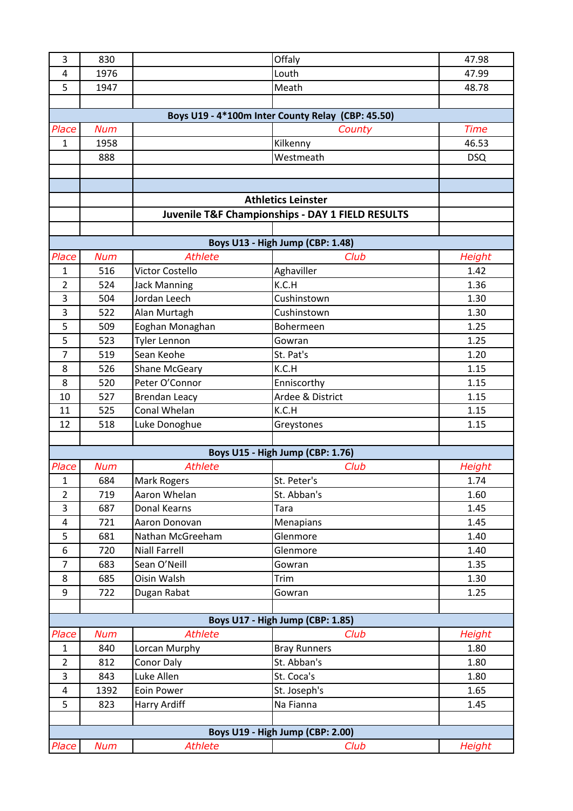| 3                   | 830        |                                   | Offaly                                            | 47.98         |
|---------------------|------------|-----------------------------------|---------------------------------------------------|---------------|
| 4                   | 1976       |                                   | Louth                                             | 47.99         |
| 5                   | 1947       |                                   | Meath                                             | 48.78         |
|                     |            |                                   |                                                   |               |
|                     |            |                                   | Boys U19 - 4*100m Inter County Relay (CBP: 45.50) |               |
| Place               | <b>Num</b> |                                   | County                                            | <b>Time</b>   |
| $\mathbf{1}$        | 1958       |                                   | Kilkenny                                          | 46.53         |
|                     | 888        |                                   | Westmeath                                         | <b>DSQ</b>    |
|                     |            |                                   |                                                   |               |
|                     |            |                                   |                                                   |               |
|                     |            |                                   | <b>Athletics Leinster</b>                         |               |
|                     |            |                                   | Juvenile T&F Championships - DAY 1 FIELD RESULTS  |               |
|                     |            |                                   |                                                   |               |
|                     |            |                                   | Boys U13 - High Jump (CBP: 1.48)                  |               |
| Place               | <b>Num</b> | <b>Athlete</b>                    | Club                                              | Height        |
| $\mathbf{1}$        | 516        | Victor Costello                   | Aghaviller                                        | 1.42          |
| $\overline{2}$      | 524        | <b>Jack Manning</b>               | K.C.H                                             | 1.36          |
| 3                   | 504        | Jordan Leech                      | Cushinstown                                       | 1.30          |
| 3                   | 522        | Alan Murtagh                      | Cushinstown                                       | 1.30          |
| 5                   | 509        | Eoghan Monaghan                   | Bohermeen                                         | 1.25          |
| 5                   | 523        | <b>Tyler Lennon</b>               | Gowran                                            | 1.25          |
| $\overline{7}$      | 519        | Sean Keohe                        | St. Pat's                                         | 1.20          |
| 8                   | 526        | <b>Shane McGeary</b>              | K.C.H                                             | 1.15          |
| 8                   | 520        | Peter O'Connor                    | Enniscorthy                                       | 1.15          |
| 10                  | 527        | <b>Brendan Leacy</b>              | Ardee & District                                  | 1.15          |
| 11                  | 525        | Conal Whelan                      | K.C.H                                             | 1.15          |
| 12                  | 518        | Luke Donoghue                     | Greystones                                        | 1.15          |
|                     |            |                                   |                                                   |               |
|                     |            |                                   | Boys U15 - High Jump (CBP: 1.76)                  |               |
| Place               | <b>Num</b> | <b>Athlete</b>                    | Club                                              | Height        |
| 1                   | 684        | Mark Rogers                       | St. Peter's                                       | 1.74          |
| $\overline{2}$      | 719        | Aaron Whelan                      | St. Abban's                                       | 1.60          |
| 3                   | 687        | Donal Kearns                      | Tara                                              | 1.45          |
| $\overline{4}$<br>5 | 721<br>681 | Aaron Donovan<br>Nathan McGreeham | Menapians<br>Glenmore                             | 1.45<br>1.40  |
| 6                   | 720        | <b>Niall Farrell</b>              | Glenmore                                          | 1.40          |
| $\overline{7}$      | 683        | Sean O'Neill                      | Gowran                                            | 1.35          |
| 8                   | 685        | Oisin Walsh                       | Trim                                              | 1.30          |
| 9                   | 722        | Dugan Rabat                       | Gowran                                            | 1.25          |
|                     |            |                                   |                                                   |               |
|                     |            |                                   | Boys U17 - High Jump (CBP: 1.85)                  |               |
| Place               | <b>Num</b> | <b>Athlete</b>                    | Club                                              | <b>Height</b> |
| $\mathbf{1}$        | 840        | Lorcan Murphy                     | <b>Bray Runners</b>                               | 1.80          |
| $\overline{2}$      | 812        | Conor Daly                        | St. Abban's                                       | 1.80          |
| 3                   | 843        | Luke Allen                        | St. Coca's                                        | 1.80          |
| $\overline{4}$      | 1392       | Eoin Power                        | St. Joseph's                                      | 1.65          |
| 5                   | 823        | Harry Ardiff                      | Na Fianna                                         | 1.45          |
|                     |            |                                   |                                                   |               |
|                     |            |                                   | Boys U19 - High Jump (CBP: 2.00)                  |               |
| Place               | <b>Num</b> | <b>Athlete</b>                    | Club                                              | <b>Height</b> |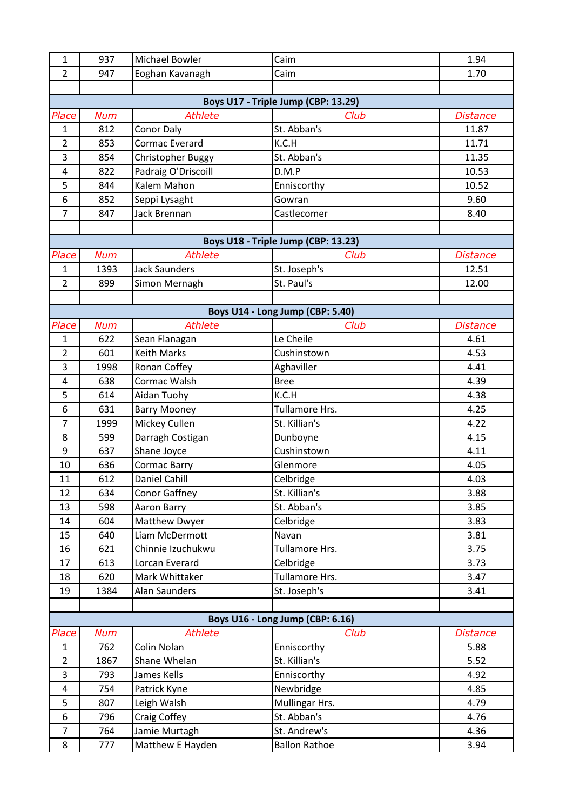| $\mathbf{1}$                        | 937        | Michael Bowler       | Caim                                | 1.94            |  |
|-------------------------------------|------------|----------------------|-------------------------------------|-----------------|--|
| 2                                   | 947        | Eoghan Kavanagh      | Caim                                | 1.70            |  |
|                                     |            |                      |                                     |                 |  |
| Boys U17 - Triple Jump (CBP: 13.29) |            |                      |                                     |                 |  |
| Place                               | <b>Num</b> | <b>Athlete</b>       | Club                                | <b>Distance</b> |  |
| $\mathbf{1}$                        | 812        | <b>Conor Daly</b>    | St. Abban's                         | 11.87           |  |
| $\overline{2}$                      | 853        | Cormac Everard       | K.C.H                               | 11.71           |  |
| 3                                   | 854        | Christopher Buggy    | St. Abban's                         | 11.35           |  |
| $\overline{4}$                      | 822        | Padraig O'Driscoill  | D.M.P                               | 10.53           |  |
| 5                                   | 844        | Kalem Mahon          | Enniscorthy                         | 10.52           |  |
| 6                                   | 852        | Seppi Lysaght        | Gowran                              | 9.60            |  |
| $\overline{7}$                      | 847        | Jack Brennan         | Castlecomer                         | 8.40            |  |
|                                     |            |                      |                                     |                 |  |
|                                     |            |                      | Boys U18 - Triple Jump (CBP: 13.23) |                 |  |
| Place                               | <b>Num</b> | <b>Athlete</b>       | Club                                | <b>Distance</b> |  |
| $\mathbf{1}$                        | 1393       | <b>Jack Saunders</b> | St. Joseph's                        | 12.51           |  |
| $\overline{2}$                      | 899        | Simon Mernagh        | St. Paul's                          | 12.00           |  |
|                                     |            |                      |                                     |                 |  |
|                                     |            |                      | Boys U14 - Long Jump (CBP: 5.40)    |                 |  |
| Place                               | <b>Num</b> | <b>Athlete</b>       | Club                                | <b>Distance</b> |  |
| 1                                   | 622        | Sean Flanagan        | Le Cheile                           | 4.61            |  |
| $\overline{2}$                      | 601        | <b>Keith Marks</b>   | Cushinstown                         | 4.53            |  |
| 3                                   | 1998       | Ronan Coffey         | Aghaviller                          | 4.41            |  |
| 4                                   | 638        | Cormac Walsh         | <b>Bree</b>                         | 4.39            |  |
| 5                                   | 614        | Aidan Tuohy          | K.C.H                               | 4.38            |  |
| 6                                   | 631        | <b>Barry Mooney</b>  | Tullamore Hrs.                      | 4.25            |  |
| $\overline{7}$                      | 1999       | Mickey Cullen        | St. Killian's                       | 4.22            |  |
| 8                                   | 599        | Darragh Costigan     | Dunboyne                            | 4.15            |  |
| $\boldsymbol{9}$                    | 637        | Shane Joyce          | Cushinstown                         | 4.11            |  |
| 10                                  | 636        | <b>Cormac Barry</b>  | Glenmore                            | 4.05            |  |
| 11                                  | 612        | Daniel Cahill        | Celbridge                           | 4.03            |  |
| 12                                  | 634        | Conor Gaffney        | St. Killian's                       | 3.88            |  |
| 13                                  | 598        | Aaron Barry          | St. Abban's                         | 3.85            |  |
| 14                                  | 604        | Matthew Dwyer        | Celbridge                           | 3.83            |  |
| 15                                  | 640        | Liam McDermott       | Navan                               | 3.81            |  |
| 16                                  | 621        | Chinnie Izuchukwu    | Tullamore Hrs.                      | 3.75            |  |
| 17                                  | 613        | Lorcan Everard       | Celbridge                           | 3.73            |  |
| 18                                  | 620        | Mark Whittaker       | Tullamore Hrs.                      | 3.47            |  |
| 19                                  | 1384       | <b>Alan Saunders</b> | St. Joseph's                        | 3.41            |  |
|                                     |            |                      |                                     |                 |  |
| Boys U16 - Long Jump (CBP: 6.16)    |            |                      |                                     |                 |  |
| Place                               | <b>Num</b> | <b>Athlete</b>       | Club                                | <b>Distance</b> |  |
| $\mathbf{1}$                        | 762        | Colin Nolan          | Enniscorthy                         | 5.88            |  |
| $\overline{2}$                      | 1867       | Shane Whelan         | St. Killian's                       | 5.52            |  |
| 3                                   | 793        | James Kells          | Enniscorthy                         | 4.92            |  |
| 4                                   | 754        | Patrick Kyne         | Newbridge                           | 4.85            |  |
| 5                                   | 807        | Leigh Walsh          | Mullingar Hrs.                      | 4.79            |  |
| 6                                   | 796        | Craig Coffey         | St. Abban's                         | 4.76            |  |
| $\overline{7}$                      | 764        | Jamie Murtagh        | St. Andrew's                        | 4.36            |  |
| 8                                   | 777        | Matthew E Hayden     | <b>Ballon Rathoe</b>                | 3.94            |  |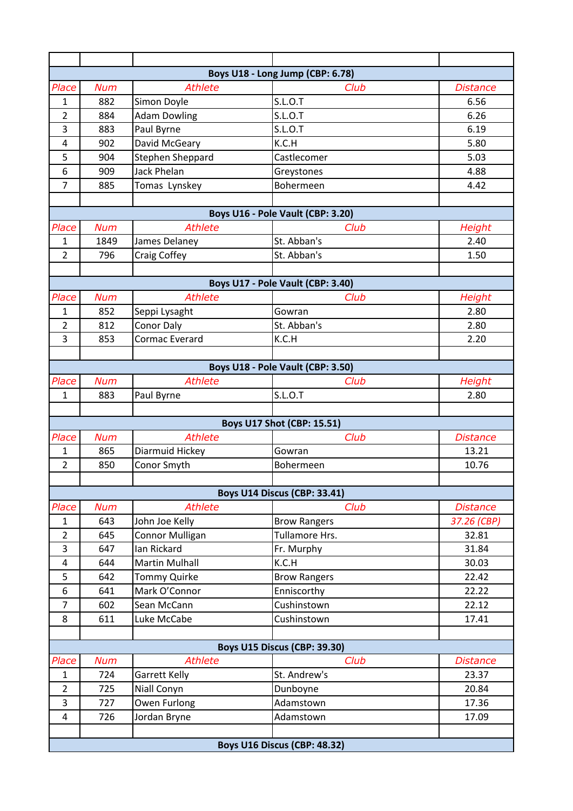|                     |            |                         | Boys U18 - Long Jump (CBP: 6.78)  |                 |
|---------------------|------------|-------------------------|-----------------------------------|-----------------|
| Place               | <b>Num</b> | <b>Athlete</b>          | Club                              | <b>Distance</b> |
| 1                   | 882        | Simon Doyle             | <b>S.L.O.T</b>                    | 6.56            |
| $\overline{2}$      | 884        | <b>Adam Dowling</b>     | <b>S.L.O.T</b>                    | 6.26            |
| 3                   | 883        | Paul Byrne              | <b>S.L.O.T</b>                    | 6.19            |
| $\overline{4}$      | 902        | David McGeary           | K.C.H                             | 5.80            |
| 5                   | 904        | <b>Stephen Sheppard</b> | Castlecomer                       | 5.03            |
| 6                   | 909        | <b>Jack Phelan</b>      | Greystones                        | 4.88            |
| $\overline{7}$      | 885        | Tomas Lynskey           | Bohermeen                         | 4.42            |
|                     |            |                         |                                   |                 |
|                     |            |                         | Boys U16 - Pole Vault (CBP: 3.20) |                 |
| Place               | <b>Num</b> | <b>Athlete</b>          | Club                              | <b>Height</b>   |
| 1                   | 1849       | James Delaney           | St. Abban's                       | 2.40            |
| $\overline{2}$      | 796        | Craig Coffey            | St. Abban's                       | 1.50            |
|                     |            |                         |                                   |                 |
|                     |            |                         | Boys U17 - Pole Vault (CBP: 3.40) |                 |
| Place               | <b>Num</b> | <b>Athlete</b>          | Club                              | <b>Height</b>   |
| 1                   | 852        | Seppi Lysaght           | Gowran                            | 2.80            |
| $\overline{2}$      | 812        | Conor Daly              | St. Abban's                       | 2.80            |
| 3                   | 853        | Cormac Everard          | K.C.H                             | 2.20            |
|                     |            |                         |                                   |                 |
|                     |            |                         | Boys U18 - Pole Vault (CBP: 3.50) |                 |
| Place               | <b>Num</b> | <b>Athlete</b>          | Club                              | <b>Height</b>   |
| $\mathbf{1}$        | 883        | Paul Byrne              | S.L.O.T                           | 2.80            |
|                     |            |                         |                                   |                 |
|                     |            |                         | <b>Boys U17 Shot (CBP: 15.51)</b> |                 |
| Place               | <b>Num</b> | <b>Athlete</b>          | Club                              | <b>Distance</b> |
| $\mathbf{1}$        | 865        | Diarmuid Hickey         | Gowran                            | 13.21           |
| $\overline{2}$      | 850        | Conor Smyth             | Bohermeen                         | 10.76           |
|                     |            |                         |                                   |                 |
|                     |            |                         | Boys U14 Discus (CBP: 33.41)      |                 |
| Place               | <b>Num</b> | <b>Athlete</b>          | Club                              | <b>Distance</b> |
| $\mathbf{1}$        | 643        | John Joe Kelly          | <b>Brow Rangers</b>               | 37.26 (CBP)     |
| $\overline{2}$      | 645        | Connor Mulligan         | Tullamore Hrs.                    | 32.81           |
| 3                   | 647        | Ian Rickard             | Fr. Murphy                        | 31.84           |
| 4                   | 644        | <b>Martin Mulhall</b>   | K.C.H                             | 30.03           |
| 5                   | 642        | <b>Tommy Quirke</b>     | <b>Brow Rangers</b>               | 22.42           |
| 6                   | 641        | Mark O'Connor           | Enniscorthy                       | 22.22           |
| $\overline{7}$      | 602        | Sean McCann             | Cushinstown                       | 22.12           |
| 8                   | 611        | Luke McCabe             | Cushinstown                       | 17.41           |
|                     |            |                         |                                   |                 |
|                     |            |                         | Boys U15 Discus (CBP: 39.30)      |                 |
| Place               | <b>Num</b> | <b>Athlete</b>          | Club                              | <b>Distance</b> |
| 1                   | 724        | Garrett Kelly           | St. Andrew's                      | 23.37           |
| $\overline{2}$      | 725        | Niall Conyn             | Dunboyne                          | 20.84           |
| 3<br>$\overline{4}$ | 727        | Owen Furlong            | Adamstown                         | 17.36           |
|                     | 726        | Jordan Bryne            | Adamstown                         | 17.09           |
|                     |            |                         |                                   |                 |
|                     |            |                         | Boys U16 Discus (CBP: 48.32)      |                 |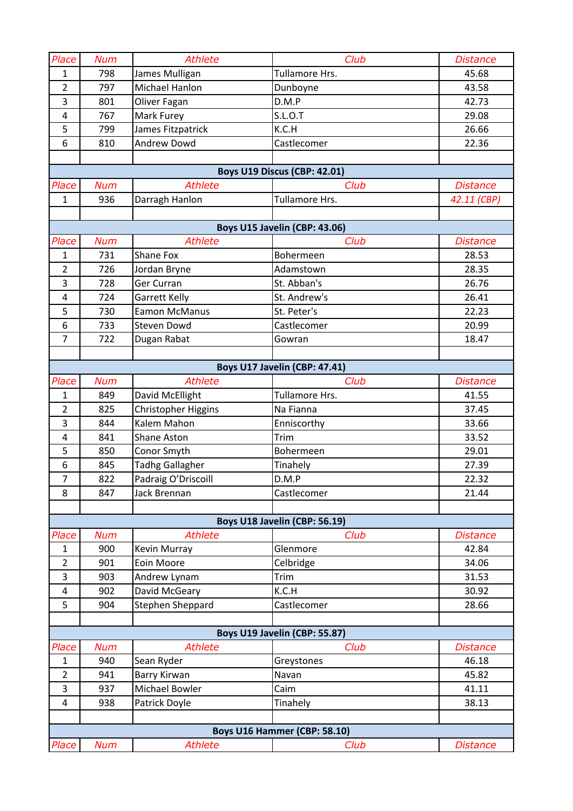| Place                               | <b>Num</b>                    | <b>Athlete</b>         | Club                          | <b>Distance</b> |  |  |
|-------------------------------------|-------------------------------|------------------------|-------------------------------|-----------------|--|--|
| $\mathbf{1}$                        | 798                           | James Mulligan         | Tullamore Hrs.                | 45.68           |  |  |
| $\overline{2}$                      | 797                           | Michael Hanlon         | Dunboyne                      | 43.58           |  |  |
| 3                                   | 801                           | Oliver Fagan           | D.M.P                         | 42.73           |  |  |
| $\overline{a}$                      | 767                           | Mark Furey             | <b>S.L.O.T</b>                | 29.08           |  |  |
| 5                                   | 799                           | James Fitzpatrick      | K.C.H                         | 26.66           |  |  |
| 6                                   | 810                           | Andrew Dowd            | Castlecomer                   | 22.36           |  |  |
|                                     |                               |                        |                               |                 |  |  |
| <b>Boys U19 Discus (CBP: 42.01)</b> |                               |                        |                               |                 |  |  |
| Place                               | <b>Num</b>                    | <b>Athlete</b>         | Club                          | <b>Distance</b> |  |  |
| $\mathbf{1}$                        | 936                           | Darragh Hanlon         | Tullamore Hrs.                | 42.11 (CBP)     |  |  |
|                                     |                               |                        |                               |                 |  |  |
|                                     |                               |                        | Boys U15 Javelin (CBP: 43.06) |                 |  |  |
| Place                               | <b>Num</b>                    | <b>Athlete</b>         | Club                          | <b>Distance</b> |  |  |
| $\mathbf{1}$                        | 731                           | Shane Fox              | Bohermeen                     | 28.53           |  |  |
| $\overline{2}$                      | 726                           | Jordan Bryne           | Adamstown                     | 28.35           |  |  |
| $\overline{3}$                      | 728                           | Ger Curran             | St. Abban's                   | 26.76           |  |  |
| $\overline{4}$                      | 724                           | Garrett Kelly          | St. Andrew's                  | 26.41           |  |  |
| 5                                   | 730                           | <b>Eamon McManus</b>   | St. Peter's                   | 22.23           |  |  |
| 6                                   | 733                           | <b>Steven Dowd</b>     | Castlecomer                   | 20.99           |  |  |
| $\overline{7}$                      | 722                           | Dugan Rabat            | Gowran                        | 18.47           |  |  |
|                                     |                               |                        |                               |                 |  |  |
|                                     |                               |                        | Boys U17 Javelin (CBP: 47.41) |                 |  |  |
| Place                               | <b>Num</b>                    | <b>Athlete</b>         | Club                          | <b>Distance</b> |  |  |
| $\mathbf{1}$                        | 849                           | David McEllight        | Tullamore Hrs.                | 41.55           |  |  |
| $\overline{2}$                      | 825                           | Christopher Higgins    | Na Fianna                     | 37.45           |  |  |
| 3                                   | 844                           | Kalem Mahon            | Enniscorthy                   | 33.66           |  |  |
| $\overline{4}$                      | 841                           | Shane Aston            | Trim                          | 33.52           |  |  |
| 5                                   | 850                           | Conor Smyth            | Bohermeen                     | 29.01           |  |  |
| 6                                   | 845                           | <b>Tadhg Gallagher</b> | Tinahely                      | 27.39           |  |  |
| $\overline{7}$                      | 822                           | Padraig O'Driscoill    | D.M.P                         | 22.32           |  |  |
| 8                                   | 847                           | Jack Brennan           | Castlecomer                   | 21.44           |  |  |
|                                     |                               |                        |                               |                 |  |  |
|                                     |                               |                        | Boys U18 Javelin (CBP: 56.19) |                 |  |  |
| Place                               | <b>Num</b>                    | <b>Athlete</b>         | Club                          | <b>Distance</b> |  |  |
| 1                                   | 900                           | Kevin Murray           | Glenmore                      | 42.84           |  |  |
| $\overline{2}$                      | 901                           | Eoin Moore             | Celbridge                     | 34.06           |  |  |
| 3<br>$\overline{4}$                 | 903<br>902                    | Andrew Lynam           | Trim<br>K.C.H                 | 31.53           |  |  |
| 5                                   |                               | David McGeary          |                               | 30.92           |  |  |
|                                     | 904                           | Stephen Sheppard       | Castlecomer                   | 28.66           |  |  |
|                                     | Boys U19 Javelin (CBP: 55.87) |                        |                               |                 |  |  |
| Place                               | <b>Num</b>                    | <b>Athlete</b>         | Club                          | <b>Distance</b> |  |  |
| $\mathbf{1}$                        | 940                           | Sean Ryder             |                               | 46.18           |  |  |
| $\overline{2}$                      | 941                           | Barry Kirwan           | Greystones<br>Navan           | 45.82           |  |  |
| 3                                   | 937                           | Michael Bowler         | Caim                          | 41.11           |  |  |
| $\overline{4}$                      | 938                           | Patrick Doyle          | Tinahely                      | 38.13           |  |  |
|                                     |                               |                        |                               |                 |  |  |
|                                     |                               |                        | Boys U16 Hammer (CBP: 58.10)  |                 |  |  |
| Place                               | <b>Num</b>                    | <b>Athlete</b>         | Club                          | <b>Distance</b> |  |  |
|                                     |                               |                        |                               |                 |  |  |